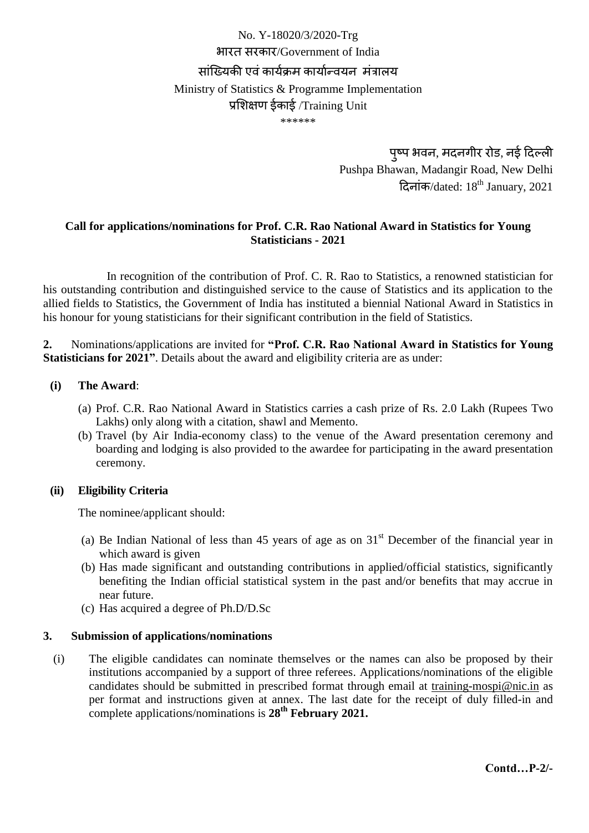# No. Y-18020/3/2020-Trg भारत सरकार/Government of India सांख्यिकी एवं कार्यक्रम कार्यान्वयन मंत्रालय Ministry of Statistics & Programme Implementation प्रशिक्षण ईकाई /Training Unit \*\*\*\*\*\*

पुष्प भवन, मदनगीर रोड, नई दिल्ली Pushpa Bhawan, Madangir Road, New Delhi दिनांक/dated:  $18<sup>th</sup>$  January, 2021

# **Call for applications/nominations for Prof. C.R. Rao National Award in Statistics for Young Statisticians - 2021**

In recognition of the contribution of Prof. C. R. Rao to Statistics, a renowned statistician for his outstanding contribution and distinguished service to the cause of Statistics and its application to the allied fields to Statistics, the Government of India has instituted a biennial National Award in Statistics in his honour for young statisticians for their significant contribution in the field of Statistics.

**2.** Nominations/applications are invited for **"Prof. C.R. Rao National Award in Statistics for Young Statisticians for 2021"**. Details about the award and eligibility criteria are as under:

#### **(i) The Award**:

- (a) Prof. C.R. Rao National Award in Statistics carries a cash prize of Rs. 2.0 Lakh (Rupees Two Lakhs) only along with a citation, shawl and Memento.
- (b) Travel (by Air India-economy class) to the venue of the Award presentation ceremony and boarding and lodging is also provided to the awardee for participating in the award presentation ceremony.

#### **(ii) Eligibility Criteria**

The nominee/applicant should:

- (a) Be Indian National of less than 45 years of age as on  $31<sup>st</sup>$  December of the financial year in which award is given
- (b) Has made significant and outstanding contributions in applied/official statistics, significantly benefiting the Indian official statistical system in the past and/or benefits that may accrue in near future.
- (c) Has acquired a degree of Ph.D/D.Sc

#### **3. Submission of applications/nominations**

(i) The eligible candidates can nominate themselves or the names can also be proposed by their institutions accompanied by a support of three referees. Applications/nominations of the eligible candidates should be submitted in prescribed format through email at [training-mospi@nic.in](mailto:training-mospi@nic.in) as per format and instructions given at annex. The last date for the receipt of duly filled-in and complete applications/nominations is **28th February 2021.**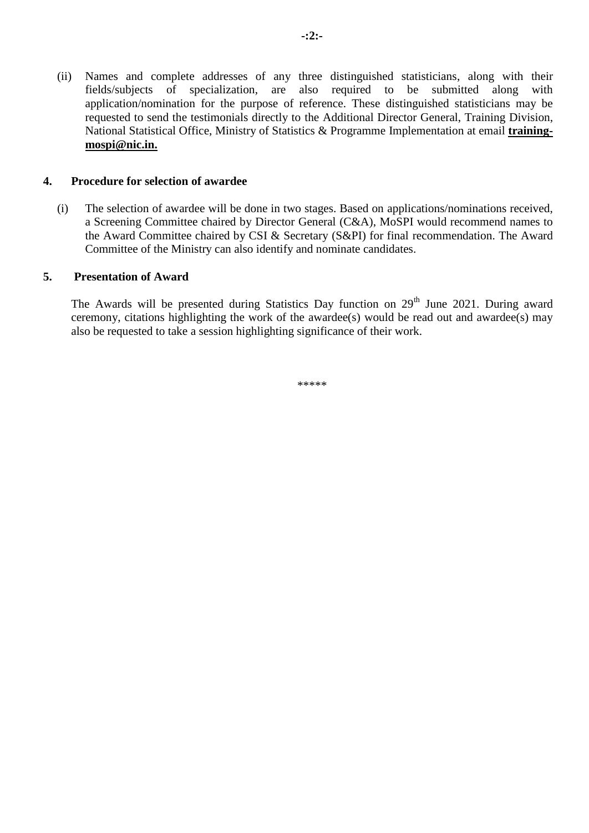(ii) Names and complete addresses of any three distinguished statisticians, along with their fields/subjects of specialization, are also required to be submitted along with application/nomination for the purpose of reference. These distinguished statisticians may be requested to send the testimonials directly to the Additional Director General, Training Division, National Statistical Office, Ministry of Statistics & Programme Implementation at email **[training](mailto:training-mospi@nic.in)[mospi@nic.in.](mailto:training-mospi@nic.in)**

#### **4. Procedure for selection of awardee**

(i) The selection of awardee will be done in two stages. Based on applications/nominations received, a Screening Committee chaired by Director General (C&A), MoSPI would recommend names to the Award Committee chaired by CSI & Secretary (S&PI) for final recommendation. The Award Committee of the Ministry can also identify and nominate candidates.

#### **5. Presentation of Award**

The Awards will be presented during Statistics Day function on 29<sup>th</sup> June 2021. During award ceremony, citations highlighting the work of the awardee(s) would be read out and awardee(s) may also be requested to take a session highlighting significance of their work.

\*\*\*\*\*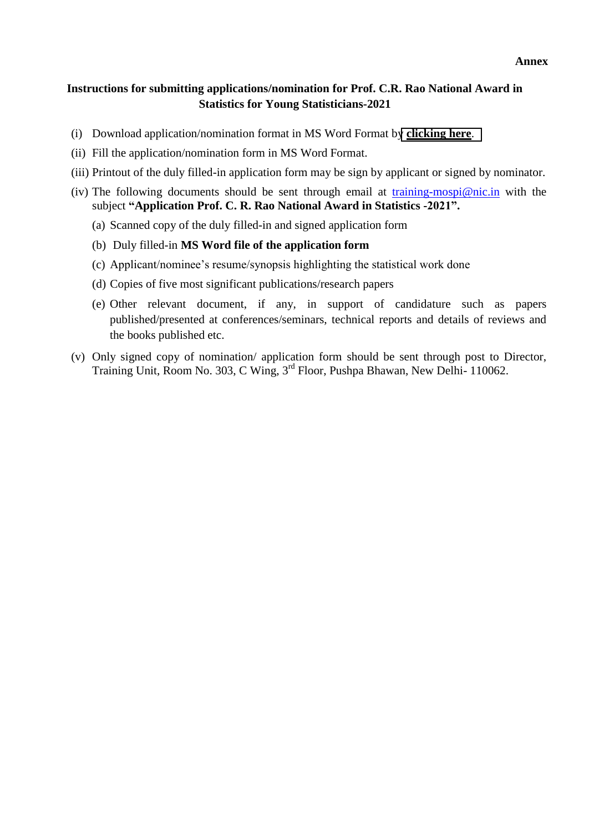#### **Annex**

## **Instructions for submitting applications/nomination for Prof. C.R. Rao National Award in Statistics for Young Statisticians-2021**

- (i) Download application/nomination format in MS Word Format by **[clicking here](https://mospi.gov.in/documents/213904/0/Application+Form+C+R+Rao+Award.docx/0da7bef7-515c-68c4-00a0-a97c9bca2b39?t=1611048844455)**.
- (ii) Fill the application/nomination form in MS Word Format.
- (iii) Printout of the duly filled-in application form may be sign by applicant or signed by nominator.
- (iv) The following documents should be sent through email at [training-mospi@nic.in](mailto:training-mospi@nic.in) with the subject **"Application Prof. C. R. Rao National Award in Statistics -2021".**
	- (a) Scanned copy of the duly filled-in and signed application form
	- (b) Duly filled-in **MS Word file of the application form**
	- (c) Applicant/nominee's resume/synopsis highlighting the statistical work done
	- (d) Copies of five most significant publications/research papers
	- (e) Other relevant document, if any, in support of candidature such as papers published/presented at conferences/seminars, technical reports and details of reviews and the books published etc.
- (v) Only signed copy of nomination/ application form should be sent through post to Director, Training Unit, Room No. 303, C Wing, 3rd Floor, Pushpa Bhawan, New Delhi- 110062.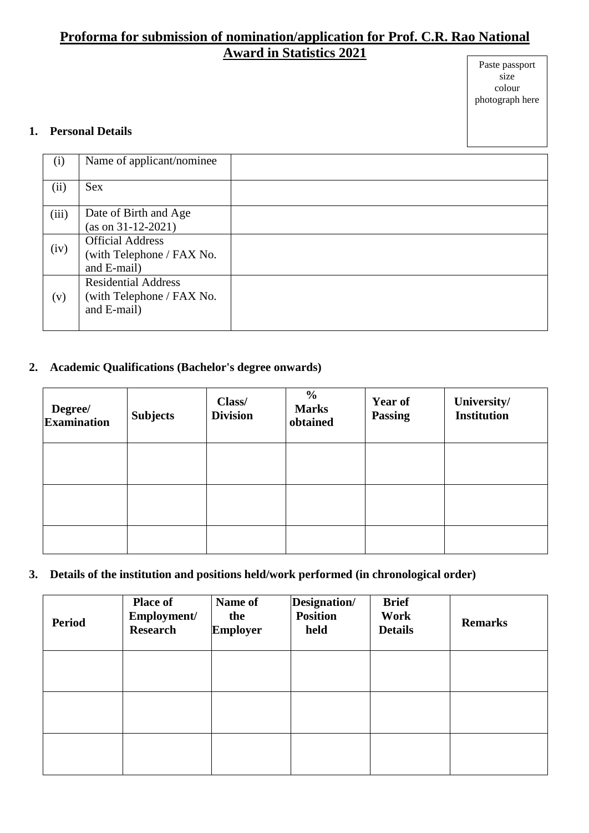# **Proforma for submission of nomination/application for Prof. C.R. Rao National Award in Statistics 2021**

#### Paste passport size colour photograph here

## **1. Personal Details**

| (i)   | Name of applicant/nominee                                              |  |
|-------|------------------------------------------------------------------------|--|
| (ii)  | <b>Sex</b>                                                             |  |
| (iii) | Date of Birth and Age<br>$(as on 31-12-2021)$                          |  |
| (iv)  | <b>Official Address</b><br>(with Telephone / FAX No.<br>and E-mail)    |  |
| (v)   | <b>Residential Address</b><br>(with Telephone / FAX No.<br>and E-mail) |  |

# **2. Academic Qualifications (Bachelor's degree onwards)**

| Degree/<br><b>Examination</b> | <b>Subjects</b> | Class/<br><b>Division</b> | $\frac{0}{0}$<br><b>Marks</b><br>obtained | <b>Year of</b><br><b>Passing</b> | University/<br><b>Institution</b> |
|-------------------------------|-----------------|---------------------------|-------------------------------------------|----------------------------------|-----------------------------------|
|                               |                 |                           |                                           |                                  |                                   |
|                               |                 |                           |                                           |                                  |                                   |
|                               |                 |                           |                                           |                                  |                                   |

# **3. Details of the institution and positions held/work performed (in chronological order)**

| <b>Period</b> | <b>Place of</b><br>Employment/<br><b>Research</b> | Name of<br>the<br><b>Employer</b> | Designation/<br><b>Position</b><br>held | <b>Brief</b><br>Work<br><b>Details</b> | <b>Remarks</b> |
|---------------|---------------------------------------------------|-----------------------------------|-----------------------------------------|----------------------------------------|----------------|
|               |                                                   |                                   |                                         |                                        |                |
|               |                                                   |                                   |                                         |                                        |                |
|               |                                                   |                                   |                                         |                                        |                |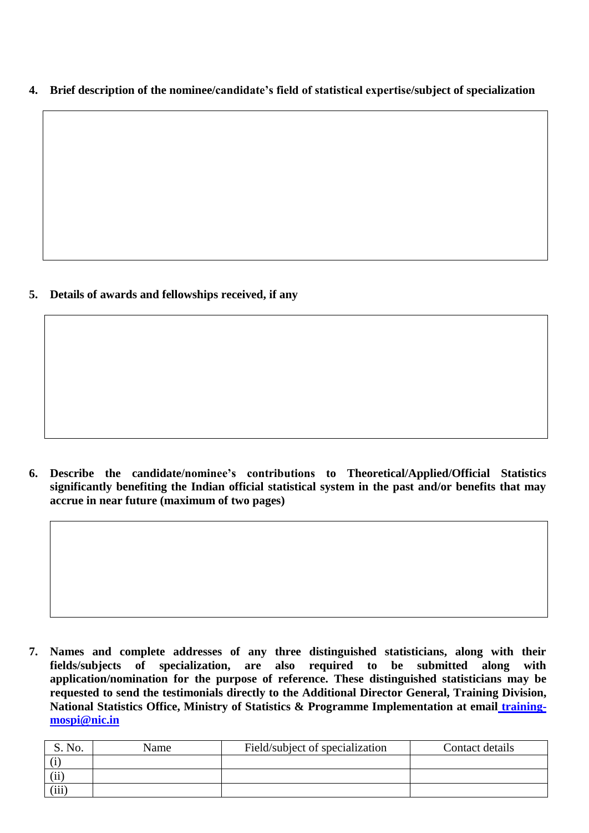**4. Brief description of the nominee/candidate's field of statistical expertise/subject of specialization**

**5. Details of awards and fellowships received, if any**

**6. Describe the candidate/nominee's contributions to Theoretical/Applied/Official Statistics significantly benefiting the Indian official statistical system in the past and/or benefits that may accrue in near future (maximum of two pages)**

**7. Names and complete addresses of any three distinguished statisticians, along with their fields/subjects of specialization, are also required to be submitted along with application/nomination for the purpose of reference. These distinguished statisticians may be requested to send the testimonials directly to the Additional Director General, Training Division, National Statistics Office, Ministry of Statistics & Programme Implementation at email [training](mailto:training-mospi@nic.in)[mospi@nic.in](mailto:training-mospi@nic.in)**

| S. No. | Name | Field/subject of specialization | Contact details |
|--------|------|---------------------------------|-----------------|
|        |      |                                 |                 |
| (ii)   |      |                                 |                 |
| (iii)  |      |                                 |                 |